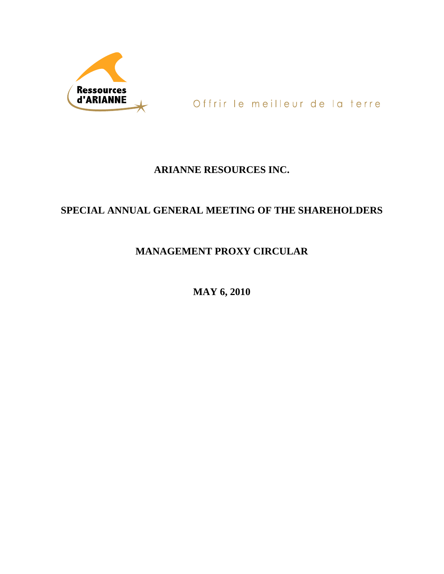

Offrir le meilleur de la terre

# **ARIANNE RESOURCES INC.**

# **SPECIAL ANNUAL GENERAL MEETING OF THE SHAREHOLDERS**

# **MANAGEMENT PROXY CIRCULAR**

**MAY 6, 2010**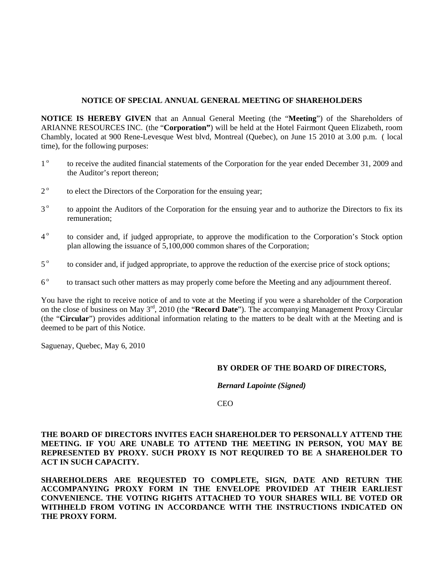#### **NOTICE OF SPECIAL ANNUAL GENERAL MEETING OF SHAREHOLDERS**

**NOTICE IS HEREBY GIVEN** that an Annual General Meeting (the "**Meeting**") of the Shareholders of ARIANNE RESOURCES INC. (the "**Corporation"**) will be held at the Hotel Fairmont Queen Elizabeth, room Chambly, located at 900 Rene-Levesque West blvd, Montreal (Quebec), on June 15 2010 at 3.00 p.m. ( local time), for the following purposes:

- 1<sup>o</sup> to receive the audited financial statements of the Corporation for the year ended December 31, 2009 and the Auditor's report thereon;
- 2<sup>°</sup> to elect the Directors of the Corporation for the ensuing year;
- 3<sup>o</sup> to appoint the Auditors of the Corporation for the ensuing year and to authorize the Directors to fix its remuneration;
- 4<sup>°</sup> to consider and, if judged appropriate, to approve the modification to the Corporation's Stock option plan allowing the issuance of 5,100,000 common shares of the Corporation;
- 5<sup>°</sup> to consider and, if judged appropriate, to approve the reduction of the exercise price of stock options;
- 6<sup>°</sup> to transact such other matters as may properly come before the Meeting and any adjournment thereof.

You have the right to receive notice of and to vote at the Meeting if you were a shareholder of the Corporation on the close of business on May 3rd, 2010 (the "**Record Date**"). The accompanying Management Proxy Circular (the "**Circular**") provides additional information relating to the matters to be dealt with at the Meeting and is deemed to be part of this Notice.

Saguenay, Quebec, May 6, 2010

# **BY ORDER OF THE BOARD OF DIRECTORS,**

*Bernard Lapointe (Signed)* 

CEO

**THE BOARD OF DIRECTORS INVITES EACH SHAREHOLDER TO PERSONALLY ATTEND THE MEETING. IF YOU ARE UNABLE TO ATTEND THE MEETING IN PERSON, YOU MAY BE REPRESENTED BY PROXY. SUCH PROXY IS NOT REQUIRED TO BE A SHAREHOLDER TO ACT IN SUCH CAPACITY.** 

**SHAREHOLDERS ARE REQUESTED TO COMPLETE, SIGN, DATE AND RETURN THE ACCOMPANYING PROXY FORM IN THE ENVELOPE PROVIDED AT THEIR EARLIEST CONVENIENCE. THE VOTING RIGHTS ATTACHED TO YOUR SHARES WILL BE VOTED OR WITHHELD FROM VOTING IN ACCORDANCE WITH THE INSTRUCTIONS INDICATED ON THE PROXY FORM.**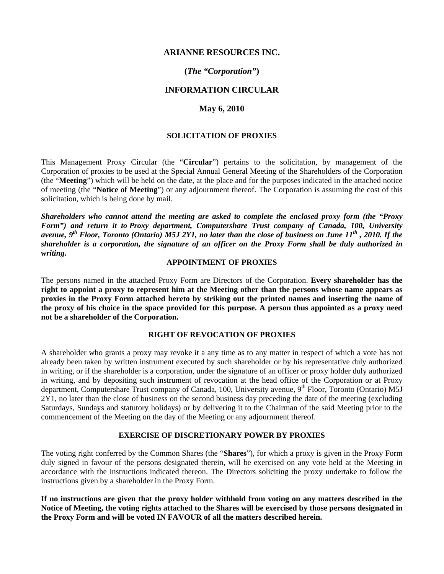# **ARIANNE RESOURCES INC.**

# **(***The "Corporation"***)**

# **INFORMATION CIRCULAR**

### **May 6, 2010**

# **SOLICITATION OF PROXIES**

This Management Proxy Circular (the "**Circular**") pertains to the solicitation, by management of the Corporation of proxies to be used at the Special Annual General Meeting of the Shareholders of the Corporation (the "**Meeting**") which will be held on the date, at the place and for the purposes indicated in the attached notice of meeting (the "**Notice of Meeting**") or any adjournment thereof. The Corporation is assuming the cost of this solicitation, which is being done by mail.

*Shareholders who cannot attend the meeting are asked to complete the enclosed proxy form (the "Proxy Form") and return it to Proxy department, Computershare Trust company of Canada, 100, University avenue, 9th Floor, Toronto (Ontario) M5J 2Y1, no later than the close of business on June 11th , 2010. If the shareholder is a corporation, the signature of an officer on the Proxy Form shall be duly authorized in writing.* 

#### **APPOINTMENT OF PROXIES**

The persons named in the attached Proxy Form are Directors of the Corporation. **Every shareholder has the right to appoint a proxy to represent him at the Meeting other than the persons whose name appears as proxies in the Proxy Form attached hereto by striking out the printed names and inserting the name of the proxy of his choice in the space provided for this purpose. A person thus appointed as a proxy need not be a shareholder of the Corporation.**

# **RIGHT OF REVOCATION OF PROXIES**

A shareholder who grants a proxy may revoke it a any time as to any matter in respect of which a vote has not already been taken by written instrument executed by such shareholder or by his representative duly authorized in writing, or if the shareholder is a corporation, under the signature of an officer or proxy holder duly authorized in writing, and by depositing such instrument of revocation at the head office of the Corporation or at Proxy department, Computershare Trust company of Canada, 100, University avenue, 9<sup>th</sup> Floor, Toronto (Ontario) M5J 2Y1, no later than the close of business on the second business day preceding the date of the meeting (excluding Saturdays, Sundays and statutory holidays) or by delivering it to the Chairman of the said Meeting prior to the commencement of the Meeting on the day of the Meeting or any adjournment thereof.

#### **EXERCISE OF DISCRETIONARY POWER BY PROXIES**

The voting right conferred by the Common Shares (the "**Shares**"), for which a proxy is given in the Proxy Form duly signed in favour of the persons designated therein, will be exercised on any vote held at the Meeting in accordance with the instructions indicated thereon. The Directors soliciting the proxy undertake to follow the instructions given by a shareholder in the Proxy Form.

**If no instructions are given that the proxy holder withhold from voting on any matters described in the Notice of Meeting, the voting rights attached to the Shares will be exercised by those persons designated in the Proxy Form and will be voted IN FAVOUR of all the matters described herein.**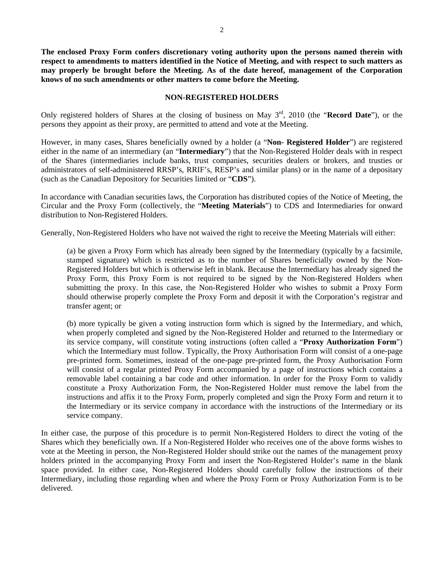**The enclosed Proxy Form confers discretionary voting authority upon the persons named therein with respect to amendments to matters identified in the Notice of Meeting, and with respect to such matters as may properly be brought before the Meeting. As of the date hereof, management of the Corporation knows of no such amendments or other matters to come before the Meeting.** 

#### **NON-REGISTERED HOLDERS**

Only registered holders of Shares at the closing of business on May 3rd, 2010 (the "**Record Date**"), or the persons they appoint as their proxy, are permitted to attend and vote at the Meeting.

However, in many cases, Shares beneficially owned by a holder (a "**Non- Registered Holder**") are registered either in the name of an intermediary (an "**Intermediary**") that the Non-Registered Holder deals with in respect of the Shares (intermediaries include banks, trust companies, securities dealers or brokers, and trusties or administrators of self-administered RRSP's, RRIF's, RESP's and similar plans) or in the name of a depositary (such as the Canadian Depository for Securities limited or "**CDS**").

In accordance with Canadian securities laws, the Corporation has distributed copies of the Notice of Meeting, the Circular and the Proxy Form (collectively, the "**Meeting Materials**") to CDS and Intermediaries for onward distribution to Non-Registered Holders.

Generally, Non-Registered Holders who have not waived the right to receive the Meeting Materials will either:

(a) be given a Proxy Form which has already been signed by the Intermediary (typically by a facsimile, stamped signature) which is restricted as to the number of Shares beneficially owned by the Non-Registered Holders but which is otherwise left in blank. Because the Intermediary has already signed the Proxy Form, this Proxy Form is not required to be signed by the Non-Registered Holders when submitting the proxy. In this case, the Non-Registered Holder who wishes to submit a Proxy Form should otherwise properly complete the Proxy Form and deposit it with the Corporation's registrar and transfer agent; or

(b) more typically be given a voting instruction form which is signed by the Intermediary, and which, when properly completed and signed by the Non-Registered Holder and returned to the Intermediary or its service company, will constitute voting instructions (often called a "**Proxy Authorization Form**") which the Intermediary must follow. Typically, the Proxy Authorisation Form will consist of a one-page pre-printed form. Sometimes, instead of the one-page pre-printed form, the Proxy Authorisation Form will consist of a regular printed Proxy Form accompanied by a page of instructions which contains a removable label containing a bar code and other information. In order for the Proxy Form to validly constitute a Proxy Authorization Form, the Non-Registered Holder must remove the label from the instructions and affix it to the Proxy Form, properly completed and sign the Proxy Form and return it to the Intermediary or its service company in accordance with the instructions of the Intermediary or its service company.

In either case, the purpose of this procedure is to permit Non-Registered Holders to direct the voting of the Shares which they beneficially own. If a Non-Registered Holder who receives one of the above forms wishes to vote at the Meeting in person, the Non-Registered Holder should strike out the names of the management proxy holders printed in the accompanying Proxy Form and insert the Non-Registered Holder's name in the blank space provided. In either case, Non-Registered Holders should carefully follow the instructions of their Intermediary, including those regarding when and where the Proxy Form or Proxy Authorization Form is to be delivered.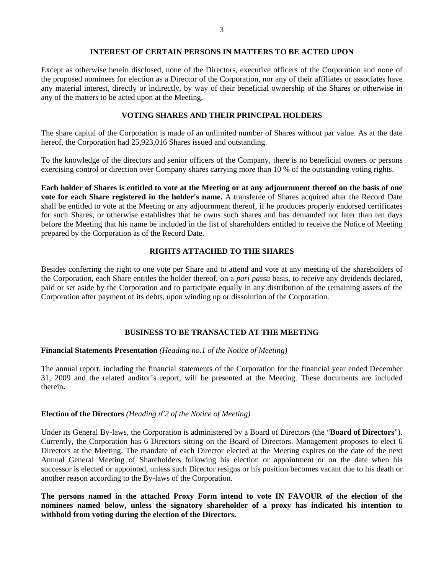#### **INTEREST OF CERTAIN PERSONS IN MATTERS TO BE ACTED UPON**

Except as otherwise herein disclosed, none of the Directors, executive officers of the Corporation and none of the proposed nominees for election as a Director of the Corporation, nor any of their affiliates or associates have any material interest, directly or indirectly, by way of their beneficial ownership of the Shares or otherwise in any of the matters to be acted upon at the Meeting.

### **VOTING SHARES AND THEIR PRINCIPAL HOLDERS**

The share capital of the Corporation is made of an unlimited number of Shares without par value. As at the date hereof, the Corporation had 25,923,016 Shares issued and outstanding.

To the knowledge of the directors and senior officers of the Company, there is no beneficial owners or persons exercising control or direction over Company shares carrying more than 10 % of the outstanding voting rights.

**Each holder of Shares is entitled to vote at the Meeting or at any adjournment thereof on the basis of one vote for each Share registered in the holder's name.** A transferee of Shares acquired after the Record Date shall be entitled to vote at the Meeting or any adjournment thereof, if he produces properly endorsed certificates for such Shares, or otherwise establishes that he owns such shares and has demanded not later than ten days before the Meeting that his name be included in the list of shareholders entitled to receive the Notice of Meeting prepared by the Corporation as of the Record Date.

## **RIGHTS ATTACHED TO THE SHARES**

Besides conferring the right to one vote per Share and to attend and vote at any meeting of the shareholders of the Corporation, each Share entitles the holder thereof, on a *pari passu* basis, to receive any dividends declared, paid or set aside by the Corporation and to participate equally in any distribution of the remaining assets of the Corporation after payment of its debts, upon winding up or dissolution of the Corporation.

## **BUSINESS TO BE TRANSACTED AT THE MEETING**

#### **Financial Statements Presentation** *(Heading no.1 of the Notice of Meeting)*

The annual report, including the financial statements of the Corporation for the financial year ended December 31, 2009 and the related auditor's report, will be presented at the Meeting. These documents are included therein**.** 

# **Election of the Directors** (Heading n°2 of the Notice of Meeting)

Under its General By-laws, the Corporation is administered by a Board of Directors (the "**Board of Directors**"). Currently, the Corporation has 6 Directors sitting on the Board of Directors. Management proposes to elect 6 Directors at the Meeting. The mandate of each Director elected at the Meeting expires on the date of the next Annual General Meeting of Shareholders following his election or appointment or on the date when his successor is elected or appointed, unless such Director resigns or his position becomes vacant due to his death or another reason according to the By-laws of the Corporation.

**The persons named in the attached Proxy Form intend to vote IN FAVOUR of the election of the nominees named below, unless the signatory shareholder of a proxy has indicated his intention to withhold from voting during the election of the Directors.**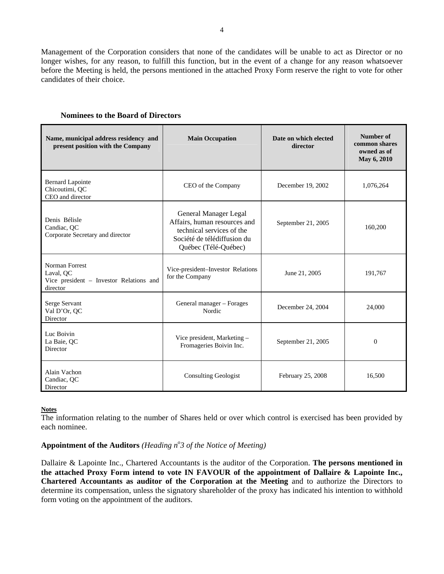Management of the Corporation considers that none of the candidates will be unable to act as Director or no longer wishes, for any reason, to fulfill this function, but in the event of a change for any reason whatsoever before the Meeting is held, the persons mentioned in the attached Proxy Form reserve the right to vote for other candidates of their choice.

| Name, municipal address residency and<br>present position with the Company         | <b>Main Occupation</b>                                                                                                                    | Date on which elected<br>director | Number of<br>common shares<br>owned as of<br>May 6, 2010 |
|------------------------------------------------------------------------------------|-------------------------------------------------------------------------------------------------------------------------------------------|-----------------------------------|----------------------------------------------------------|
| <b>Bernard Lapointe</b><br>Chicoutimi, QC<br>CEO and director                      | CEO of the Company                                                                                                                        | December 19, 2002                 | 1,076,264                                                |
| Denis Bélisle<br>Candiac, OC<br>Corporate Secretary and director                   | General Manager Legal<br>Affairs, human resources and<br>technical services of the<br>Société de télédiffusion du<br>Québec (Télé-Québec) | September 21, 2005                | 160,200                                                  |
| Norman Forrest<br>Laval, OC<br>Vice president - Investor Relations and<br>director | Vice-president-Investor Relations<br>for the Company                                                                                      | June 21, 2005                     | 191,767                                                  |
| Serge Servant<br>Val D'Or, QC<br>Director                                          | General manager - Forages<br>Nordic                                                                                                       | December 24, 2004                 | 24,000                                                   |
| Luc Boivin<br>La Baie, OC<br>Director                                              | Vice president, Marketing -<br>Fromageries Boivin Inc.                                                                                    | September 21, 2005                | $\overline{0}$                                           |
| Alain Vachon<br>Candiac, OC<br>Director                                            | <b>Consulting Geologist</b>                                                                                                               | February 25, 2008                 | 16,500                                                   |

#### **Notes**

The information relating to the number of Shares held or over which control is exercised has been provided by each nominee.

# Appointment of the Auditors *(Heading n<sup>o</sup>3 of the Notice of Meeting)*

Dallaire & Lapointe Inc., Chartered Accountants is the auditor of the Corporation. **The persons mentioned in the attached Proxy Form intend to vote IN FAVOUR of the appointment of Dallaire & Lapointe Inc., Chartered Accountants as auditor of the Corporation at the Meeting** and to authorize the Directors to determine its compensation, unless the signatory shareholder of the proxy has indicated his intention to withhold form voting on the appointment of the auditors.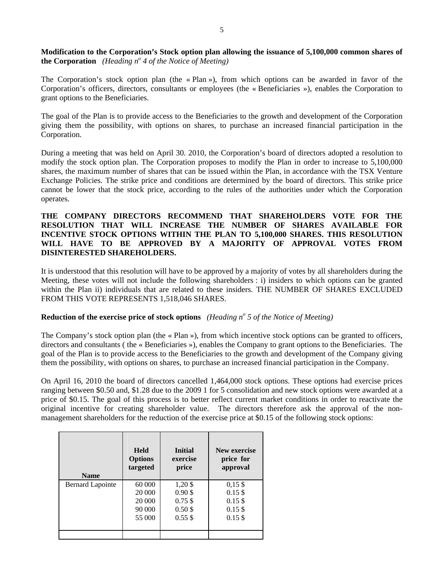**Modification to the Corporation's Stock option plan allowing the issuance of 5,100,000 common shares of the Corporation** (*Heading n<sup>°</sup> 4 of the Notice of Meeting*)

The Corporation's stock option plan (the « Plan »), from which options can be awarded in favor of the Corporation's officers, directors, consultants or employees (the « Beneficiaries »), enables the Corporation to grant options to the Beneficiaries.

The goal of the Plan is to provide access to the Beneficiaries to the growth and development of the Corporation giving them the possibility, with options on shares, to purchase an increased financial participation in the Corporation.

During a meeting that was held on April 30. 2010, the Corporation's board of directors adopted a resolution to modify the stock option plan. The Corporation proposes to modify the Plan in order to increase to 5,100,000 shares, the maximum number of shares that can be issued within the Plan, in accordance with the TSX Venture Exchange Policies. The strike price and conditions are determined by the board of directors. This strike price cannot be lower that the stock price, according to the rules of the authorities under which the Corporation operates.

# **THE COMPANY DIRECTORS RECOMMEND THAT SHAREHOLDERS VOTE FOR THE RESOLUTION THAT WILL INCREASE THE NUMBER OF SHARES AVAILABLE FOR INCENTIVE STOCK OPTIONS WITHIN THE PLAN TO 5,100,000 SHARES. THIS RESOLUTION WILL HAVE TO BE APPROVED BY A MAJORITY OF APPROVAL VOTES FROM DISINTERESTED SHAREHOLDERS.**

It is understood that this resolution will have to be approved by a majority of votes by all shareholders during the Meeting, these votes will not include the following shareholders : i) insiders to which options can be granted within the Plan ii) individuals that are related to these insiders. THE NUMBER OF SHARES EXCLUDED FROM THIS VOTE REPRESENTS 1,518,046 SHARES.

# **Reduction of the exercise price of stock options** *(Heading n<sup>o</sup> 5 of the Notice of Meeting)*

The Company's stock option plan (the « Plan »), from which incentive stock options can be granted to officers, directors and consultants ( the « Beneficiaries »), enables the Company to grant options to the Beneficiaries. The goal of the Plan is to provide access to the Beneficiaries to the growth and development of the Company giving them the possibility, with options on shares, to purchase an increased financial participation in the Company.

On April 16, 2010 the board of directors cancelled 1,464,000 stock options. These options had exercise prices ranging between \$0.50 and, \$1.28 due to the 2009 1 for 5 consolidation and new stock options were awarded at a price of \$0.15. The goal of this process is to better reflect current market conditions in order to reactivate the original incentive for creating shareholder value. The directors therefore ask the approval of the nonmanagement shareholders for the reduction of the exercise price at \$0.15 of the following stock options:

| <b>Name</b>             | <b>Held</b><br><b>Options</b><br>targeted | Initial<br>exercise<br>price | New exercise<br>price for<br>approval |
|-------------------------|-------------------------------------------|------------------------------|---------------------------------------|
| <b>Bernard Lapointe</b> | 60 000                                    | $1,20 \text{ }$ \$           | $0,15$ \$                             |
|                         | 20 000                                    | $0.90$ \$                    | $0.15$ \$                             |
|                         | 20 000                                    | $0.75$ \$                    | $0.15$ \$                             |
|                         | 90 000                                    | $0.50$ \$                    | $0.15$ \$                             |
|                         | 55 000                                    | $0.55$ \$                    | $0.15$ \$                             |
|                         |                                           |                              |                                       |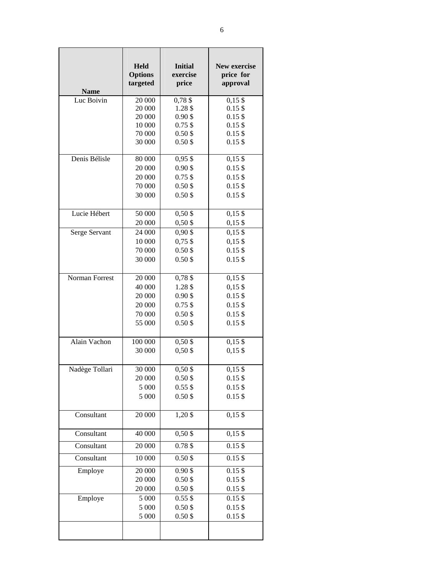|                | <b>Held</b>     | <b>Initial</b>         | New exercise           |
|----------------|-----------------|------------------------|------------------------|
|                | <b>Options</b>  | exercise               | price for              |
| <b>Name</b>    | targeted        | price                  | approval               |
| Luc Boivin     | 20 000          | $0,78$ \$              | $0,15$ \$              |
|                | 20 000          | 1.28 \$                | $0.15$ \$              |
|                | 20 000          | $0.90$ \$              | $0.15$ \$              |
|                | 10 000          | $0.75$ \$              | $0.15$ \$              |
|                | 70 000          | $0.50$ \$              | $0.15$ \$              |
|                | 30 000          | $0.50$ \$              | $0.15$ \$              |
| Denis Bélisle  | 80 000          | $0,95$ \$              | $0,15$ \$              |
|                | 20 000          | $0.90$ \$              | $0.15$ \$              |
|                | 20 000          | $0.75$ \$              | $0.15$ \$              |
|                | 70 000          | $0.50$ \$              | $0.15$ \$              |
|                | 30 000          | $0.50$ \$              | $0.15$ \$              |
| Lucie Hébert   | 50 000          | $0,50$ \$              | $0,15$ \$              |
|                | 20 000          | $0,50$ \$              | $0,15$ \$              |
| Serge Servant  | 24 000          | $0,90$ \$              | $0,15$ \$              |
|                | 10 000          | $0,75$ \$              | $0,15$ \$              |
|                | 70 000          | $0.50$ \$              | $0.15$ \$              |
|                | 30 000          | $0.50$ \$              | $0.15$ \$              |
| Norman Forrest | 20 000          | $0,78$ \$              | $0,15$ \$              |
|                | 40 000          | 1.28 \$                | $0,15$ \$              |
|                | 20 000          | $0.90$ \$              | $0.15$ \$              |
|                | 20 000          | $0.75$ \$              | $0.15$ \$              |
|                | 70 000          | $0.50$ \$              | $0.15$ \$              |
|                | 55 000          | $0.50$ \$              | $0.15$ \$              |
| Alain Vachon   | 100 000         | $0,50$ \$              | $0,15$ \$              |
|                | 30 000          | $0,50$ \$              | $0,15$ \$              |
|                |                 |                        |                        |
| Nadège Tollari | 30 000          | $0,50$ \$              | $0,15$ \$              |
|                | 20 000<br>5 000 | $0.50$ \$<br>$0.55$ \$ | $0.15$ \$<br>$0.15$ \$ |
|                | 5 000           | $0.50$ \$              | $0.15$ \$              |
|                |                 |                        |                        |
| Consultant     | 20 000          | $1,20$ \$              | $0,15$ \$              |
| Consultant     | 40 000          | $0,50$ \$              | $0,15$ \$              |
| Consultant     | 20 000          | 0.78\$                 | $0.15$ \$              |
| Consultant     | $10\,000$       | $0.50$ \$              | $0.15$ \$              |
| Employe        | 20 000          | $0.90$ \$              | $0.15$ \$              |
|                | 20 000          | $0.50$ \$              | $0.15$ \$              |
|                | 20 000          | $0.50$ \$              | $0.15$ \$              |
| Employe        | 5 000           | $0.55$ \$              | $0.15$ \$              |
|                | 5 000           | $0.50$ \$              | $0.15$ \$              |
|                | 5 000           | $0.50$ \$              | $0.15$ \$              |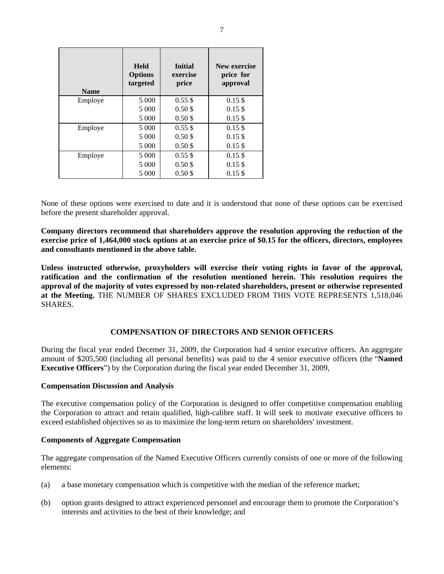| <b>Name</b> | <b>Held</b><br><b>Options</b><br>targeted | <b>Initial</b><br>exercise<br>price | New exercise<br>price for<br>approval |
|-------------|-------------------------------------------|-------------------------------------|---------------------------------------|
| Employe     | 5 0 0 0                                   | 0.55S                               | 0.15S                                 |
|             | 5 000                                     | $0.50$ \$                           | 0.15S                                 |
|             | 5 0 0 0                                   | $0.50$ \$                           | $0.15$ \$                             |
| Employe     | 5 0 0 0                                   | 0.55S                               | 0.15S                                 |
|             | 5 0 0 0                                   | $0.50$ \$                           | $0.15$ \$                             |
|             | 5 0 0 0                                   | 0.50S                               | 0.15S                                 |
| Employe     | 5 0 0 0                                   | 0.55S                               | 0.15S                                 |
|             | 5 0 0 0                                   | $0.50$ \$                           | $0.15$ \$                             |
|             | 5 0 0 0                                   | $0.50$ \$                           | $0.15$ \$                             |

None of these options were exercised to date and it is understood that none of these options can be exercised before the present shareholder approval.

**Company directors recommend that shareholders approve the resolution approving the reduction of the exercise price of 1,464,000 stock options at an exercise price of \$0.15 for the officers, directors, employees and consultants mentioned in the above table.** 

**Unless instructed otherwise, proxyholders will exercise their voting rights in favor of the approval, ratification and the confirmation of the resolution mentioned herein. This resolution requires the approval of the majority of votes expressed by non-related shareholders, present or otherwise represented at the Meeting.** THE NUMBER OF SHARES EXCLUDED FROM THIS VOTE REPRESENTS 1,518,046 SHARES.

#### **COMPENSATION OF DIRECTORS AND SENIOR OFFICERS**

During the fiscal year ended Decemer 31, 2009, the Corporation had 4 senior executive officers. An aggregate amount of \$205,500 (including all personal benefits) was paid to the 4 senior executive officers (the "**Named Executive Officers**") by the Corporation during the fiscal year ended December 31, 2009,

#### **Compensation Discussion and Analysis**

The executive compensation policy of the Corporation is designed to offer competitive compensation enabling the Corporation to attract and retain qualified, high-calibre staff. It will seek to motivate executive officers to exceed established objectives so as to maximize the long-term return on shareholders' investment.

#### **Components of Aggregate Compensation**

The aggregate compensation of the Named Executive Officers currently consists of one or more of the following elements:

- (a) a base monetary compensation which is competitive with the median of the reference market;
- (b) option grants designed to attract experienced personnel and encourage them to promote the Corporation's interests and activities to the best of their knowledge; and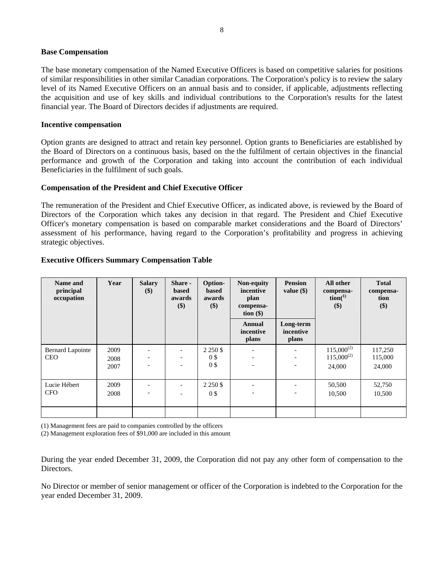#### **Base Compensation**

The base monetary compensation of the Named Executive Officers is based on competitive salaries for positions of similar responsibilities in other similar Canadian corporations. The Corporation's policy is to review the salary level of its Named Executive Officers on an annual basis and to consider, if applicable, adjustments reflecting the acquisition and use of key skills and individual contributions to the Corporation's results for the latest financial year. The Board of Directors decides if adjustments are required.

#### **Incentive compensation**

Option grants are designed to attract and retain key personnel. Option grants to Beneficiaries are established by the Board of Directors on a continuous basis, based on the the fulfilment of certain objectives in the financial performance and growth of the Corporation and taking into account the contribution of each individual Beneficiaries in the fulfilment of such goals.

#### **Compensation of the President and Chief Executive Officer**

The remuneration of the President and Chief Executive Officer, as indicated above, is reviewed by the Board of Directors of the Corporation which takes any decision in that regard. The President and Chief Executive Officer's monetary compensation is based on comparable market considerations and the Board of Directors' assessment of his performance, having regard to the Corporation's profitability and progress in achieving strategic objectives.

| Name and<br>principal<br>occupation   | Year                 | <b>Salary</b><br>$(\$)$                                                          | Share -<br>based<br>awards<br>\$) | Option-<br><b>based</b><br>awards<br>\$) | Non-equity<br>incentive<br>plan<br>compensa-<br>tion $(\$)$                              | <b>Pension</b><br>value $(\$)$                                                   | All other<br>compensa-<br>$\text{tion}^{(1)}$<br>\$) | <b>Total</b><br>compensa-<br>tion<br>\$) |
|---------------------------------------|----------------------|----------------------------------------------------------------------------------|-----------------------------------|------------------------------------------|------------------------------------------------------------------------------------------|----------------------------------------------------------------------------------|------------------------------------------------------|------------------------------------------|
|                                       |                      |                                                                                  |                                   |                                          | Annual<br>incentive<br>plans                                                             | Long-term<br>incentive<br>plans                                                  |                                                      |                                          |
| <b>Bernard Lapointe</b><br><b>CEO</b> | 2009<br>2008<br>2007 | $\overline{\phantom{a}}$<br>$\overline{\phantom{a}}$<br>$\overline{\phantom{a}}$ |                                   | 2 2 5 0 \$<br>0\$<br>0\$                 | $\overline{\phantom{a}}$<br>$\qquad \qquad \blacksquare$<br>$\qquad \qquad \blacksquare$ | $\overline{\phantom{a}}$<br>$\overline{\phantom{a}}$<br>$\overline{\phantom{a}}$ | $115,000^{(2)}$<br>$115,000^{(2)}$<br>24,000         | 117,250<br>115,000<br>24,000             |
| Lucie Hébert<br><b>CFO</b>            | 2009<br>2008         |                                                                                  |                                   | 2 2 5 0 \$<br>0\$                        |                                                                                          | $\overline{\phantom{0}}$                                                         | 50,500<br>10,500                                     | 52,750<br>10,500                         |

#### **Executive Officers Summary Compensation Table**

(1) Management fees are paid to companies controlled by the officers

(2) Management exploration fees of \$91,000 are included in this amount

During the year ended December 31, 2009, the Corporation did not pay any other form of compensation to the Directors.

No Director or member of senior management or officer of the Corporation is indebted to the Corporation for the year ended December 31, 2009.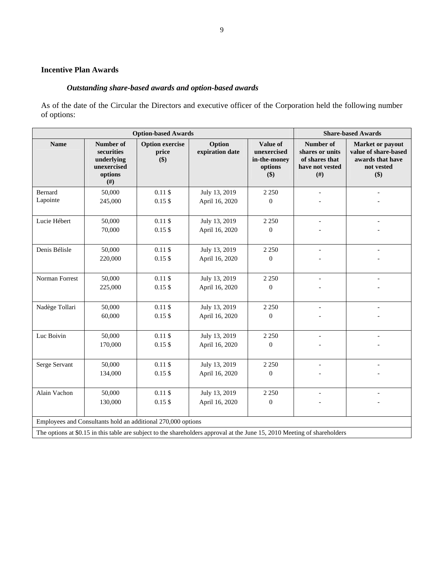# **Incentive Plan Awards**

# *Outstanding share-based awards and option-based awards*

As of the date of the Circular the Directors and executive officer of the Corporation held the following number of options:

| <b>Option-based Awards</b> |                                                                                                                                                  |                                                              |                                                                                                                           |                                                                             |                                                                                   | <b>Share-based Awards</b> |
|----------------------------|--------------------------------------------------------------------------------------------------------------------------------------------------|--------------------------------------------------------------|---------------------------------------------------------------------------------------------------------------------------|-----------------------------------------------------------------------------|-----------------------------------------------------------------------------------|---------------------------|
| <b>Name</b>                | Option<br>Number of<br><b>Option exercise</b><br>expiration date<br>securities<br>price<br>\$)<br>underlying<br>unexercised<br>options<br>$(\#)$ |                                                              | Value of<br>unexercised<br>in-the-money<br>options<br>\$)                                                                 | Number of<br>shares or units<br>of shares that<br>have not vested<br>$(\#)$ | Market or payout<br>value of share-based<br>awards that have<br>not vested<br>\$) |                           |
| Bernard                    | 50,000                                                                                                                                           | $0.11$ \$                                                    | July 13, 2019                                                                                                             | 2 2 5 0                                                                     |                                                                                   |                           |
| Lapointe                   | 245,000                                                                                                                                          | $0.15$ \$                                                    | April 16, 2020                                                                                                            | $\theta$                                                                    |                                                                                   |                           |
| Lucie Hébert               | 50,000                                                                                                                                           | $0.11$ \$                                                    | July 13, 2019                                                                                                             | 2 2 5 0                                                                     | $\blacksquare$                                                                    | $\overline{a}$            |
|                            | 70,000                                                                                                                                           | $0.15$ \$                                                    | April 16, 2020                                                                                                            | $\overline{0}$                                                              |                                                                                   |                           |
| Denis Bélisle              | 50,000                                                                                                                                           | $0.11$ \$                                                    | July 13, 2019                                                                                                             | 2 2 5 0                                                                     | $\overline{\phantom{a}}$                                                          |                           |
|                            | 220,000                                                                                                                                          | $0.15$ \$                                                    | April 16, 2020                                                                                                            | $\theta$                                                                    |                                                                                   |                           |
| Norman Forrest             | 50,000                                                                                                                                           | $0.11 \text{ }$ \$                                           | July 13, 2019                                                                                                             | 2 2 5 0                                                                     | $\overline{\phantom{a}}$                                                          |                           |
|                            | 225,000                                                                                                                                          | $0.15$ \$                                                    | April 16, 2020                                                                                                            | $\mathbf{0}$                                                                |                                                                                   |                           |
| Nadège Tollari             | 50,000                                                                                                                                           | $0.11$ \$                                                    | July 13, 2019                                                                                                             | 2 2 5 0                                                                     |                                                                                   |                           |
|                            | 60,000                                                                                                                                           | $0.15$ \$                                                    | April 16, 2020                                                                                                            | $\mathbf{0}$                                                                |                                                                                   |                           |
| Luc Boivin                 | 50,000                                                                                                                                           | $0.11$ \$                                                    | July 13, 2019                                                                                                             | 2 2 5 0                                                                     |                                                                                   |                           |
|                            | 170,000                                                                                                                                          | $0.15$ \$                                                    | April 16, 2020                                                                                                            | $\mathbf{0}$                                                                |                                                                                   |                           |
| Serge Servant              | 50,000                                                                                                                                           | 0.11S                                                        | July 13, 2019                                                                                                             | 2 2 5 0                                                                     |                                                                                   |                           |
|                            | 134,000                                                                                                                                          | $0.15$ \$                                                    | April 16, 2020                                                                                                            | $\mathbf{0}$                                                                |                                                                                   |                           |
| Alain Vachon               | 50,000                                                                                                                                           | $0.11$ \$                                                    | July 13, 2019                                                                                                             | 2 2 5 0                                                                     |                                                                                   |                           |
|                            | 130,000                                                                                                                                          | $0.15$ \$                                                    | April 16, 2020                                                                                                            | $\mathbf{0}$                                                                |                                                                                   |                           |
|                            |                                                                                                                                                  | Employees and Consultants hold an additional 270,000 options |                                                                                                                           |                                                                             |                                                                                   |                           |
|                            |                                                                                                                                                  |                                                              | The options at \$0.15 in this table are subject to the shareholders approval at the June 15, 2010 Meeting of shareholders |                                                                             |                                                                                   |                           |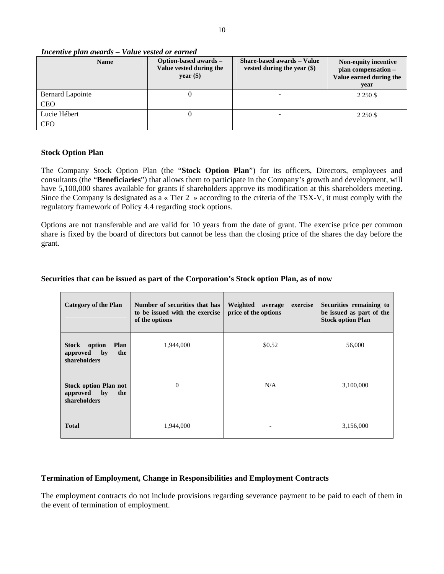#### *Incentive plan awards – Value vested or earned*

| <b>Name</b>      | Option-based awards -<br>Value vested during the<br>year $(\$)$ | Share-based awards - Value<br>vested during the year $(\$)$ | Non-equity incentive<br>plan compensation -<br>Value earned during the<br>year |
|------------------|-----------------------------------------------------------------|-------------------------------------------------------------|--------------------------------------------------------------------------------|
| Bernard Lapointe |                                                                 |                                                             | 2 2 5 0 \$                                                                     |
| <b>CEO</b>       |                                                                 |                                                             |                                                                                |
| Lucie Hébert     |                                                                 |                                                             | 2 2 5 0 \$                                                                     |
| <b>CFO</b>       |                                                                 |                                                             |                                                                                |

### **Stock Option Plan**

The Company Stock Option Plan (the "**Stock Option Plan**") for its officers, Directors, employees and consultants (the "**Beneficiaries**") that allows them to participate in the Company's growth and development, will have 5,100,000 shares available for grants if shareholders approve its modification at this shareholders meeting. Since the Company is designated as a « Tier 2 » according to the criteria of the TSX-V, it must comply with the regulatory framework of Policy 4.4 regarding stock options.

Options are not transferable and are valid for 10 years from the date of grant. The exercise price per common share is fixed by the board of directors but cannot be less than the closing price of the shares the day before the grant.

# **Securities that can be issued as part of the Corporation's Stock option Plan, as of now**

| <b>Category of the Plan</b>                                                       | Number of securities that has<br>to be issued with the exercise<br>of the options | Weighted average<br>exercise<br>price of the options | Securities remaining to<br>be issued as part of the<br><b>Stock option Plan</b> |
|-----------------------------------------------------------------------------------|-----------------------------------------------------------------------------------|------------------------------------------------------|---------------------------------------------------------------------------------|
| option<br><b>Plan</b><br>Stock<br>the<br>$\mathbf{b}$<br>approved<br>shareholders | 1,944,000                                                                         | \$0.52                                               | 56,000                                                                          |
| <b>Stock option Plan not</b><br>by<br>the<br>approved<br>shareholders             | $\overline{0}$                                                                    | N/A                                                  | 3,100,000                                                                       |
| <b>Total</b>                                                                      | 1,944,000                                                                         |                                                      | 3,156,000                                                                       |

#### **Termination of Employment, Change in Responsibilities and Employment Contracts**

The employment contracts do not include provisions regarding severance payment to be paid to each of them in the event of termination of employment.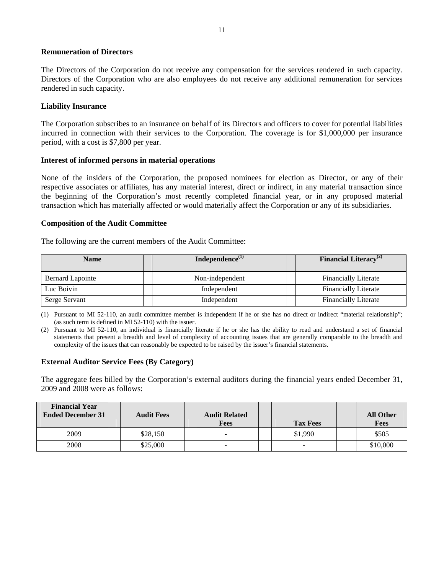#### **Remuneration of Directors**

The Directors of the Corporation do not receive any compensation for the services rendered in such capacity. Directors of the Corporation who are also employees do not receive any additional remuneration for services rendered in such capacity.

### **Liability Insurance**

The Corporation subscribes to an insurance on behalf of its Directors and officers to cover for potential liabilities incurred in connection with their services to the Corporation. The coverage is for \$1,000,000 per insurance period, with a cost is \$7,800 per year.

### **Interest of informed persons in material operations**

None of the insiders of the Corporation, the proposed nominees for election as Director, or any of their respective associates or affiliates, has any material interest, direct or indirect, in any material transaction since the beginning of the Corporation's most recently completed financial year, or in any proposed material transaction which has materially affected or would materially affect the Corporation or any of its subsidiaries.

### **Composition of the Audit Committee**

The following are the current members of the Audit Committee:

| <b>Name</b>      | Independence $^{(1)}$ | <b>Financial Literacy</b> <sup>(2)</sup> |
|------------------|-----------------------|------------------------------------------|
| Bernard Lapointe | Non-independent       | <b>Financially Literate</b>              |
| Luc Boivin       | Independent           | <b>Financially Literate</b>              |
| Serge Servant    | Independent           | <b>Financially Literate</b>              |

(1) Pursuant to MI 52-110, an audit committee member is independent if he or she has no direct or indirect "material relationship"; (as such term is defined in MI 52-110) with the issuer.

(2) Pursuant to MI 52-110, an individual is financially literate if he or she has the ability to read and understand a set of financial statements that present a breadth and level of complexity of accounting issues that are generally comparable to the breadth and complexity of the issues that can reasonably be expected to be raised by the issuer's financial statements.

#### **External Auditor Service Fees (By Category)**

The aggregate fees billed by the Corporation's external auditors during the financial years ended December 31, 2009 and 2008 were as follows:

| <b>Financial Year</b><br><b>Ended December 31</b> | <b>Audit Fees</b> | <b>Audit Related</b><br><b>Fees</b> | <b>Tax Fees</b>          | <b>All Other</b><br><b>Fees</b> |
|---------------------------------------------------|-------------------|-------------------------------------|--------------------------|---------------------------------|
| 2009                                              | \$28,150          |                                     | \$1,990                  | \$505                           |
| 2008                                              | \$25,000          | ۰                                   | $\overline{\phantom{0}}$ | \$10,000                        |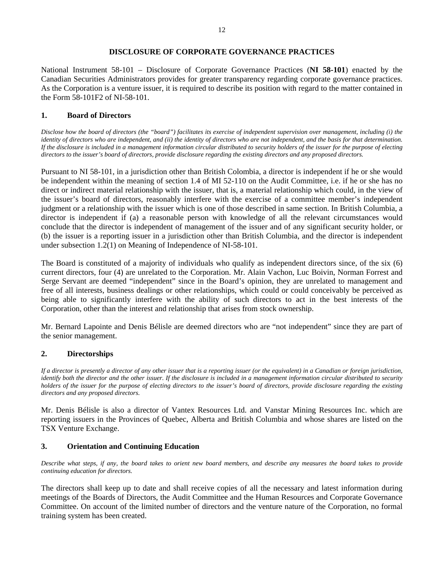### **DISCLOSURE OF CORPORATE GOVERNANCE PRACTICES**

National Instrument 58-101 – Disclosure of Corporate Governance Practices (**NI 58-101**) enacted by the Canadian Securities Administrators provides for greater transparency regarding corporate governance practices. As the Corporation is a venture issuer, it is required to describe its position with regard to the matter contained in the Form 58-101F2 of NI-58-101.

# **1. Board of Directors**

*Disclose how the board of directors (the "board") facilitates its exercise of independent supervision over management, including (i) the identity of directors who are independent, and (ii) the identity of directors who are not independent, and the basis for that determination. If the disclosure is included in a management information circular distributed to security holders of the issuer for the purpose of electing directors to the issuer's board of directors, provide disclosure regarding the existing directors and any proposed directors.* 

Pursuant to NI 58-101, in a jurisdiction other than British Colombia, a director is independent if he or she would be independent within the meaning of section 1.4 of MI 52-110 on the Audit Committee, i.e. if he or she has no direct or indirect material relationship with the issuer, that is, a material relationship which could, in the view of the issuer's board of directors, reasonably interfere with the exercise of a committee member's independent judgment or a relationship with the issuer which is one of those described in same section. In British Columbia, a director is independent if (a) a reasonable person with knowledge of all the relevant circumstances would conclude that the director is independent of management of the issuer and of any significant security holder, or (b) the issuer is a reporting issuer in a jurisdiction other than British Columbia, and the director is independent under subsection 1.2(1) on Meaning of Independence of NI-58-101.

The Board is constituted of a majority of individuals who qualify as independent directors since, of the six (6) current directors, four (4) are unrelated to the Corporation. Mr. Alain Vachon, Luc Boivin, Norman Forrest and Serge Servant are deemed "independent" since in the Board's opinion, they are unrelated to management and free of all interests, business dealings or other relationships, which could or could conceivably be perceived as being able to significantly interfere with the ability of such directors to act in the best interests of the Corporation, other than the interest and relationship that arises from stock ownership.

Mr. Bernard Lapointe and Denis Bélisle are deemed directors who are "not independent" since they are part of the senior management.

# **2. Directorships**

*If a director is presently a director of any other issuer that is a reporting issuer (or the equivalent) in a Canadian or foreign jurisdiction, identify both the director and the other issuer. If the disclosure is included in a management information circular distributed to security holders of the issuer for the purpose of electing directors to the issuer's board of directors, provide disclosure regarding the existing directors and any proposed directors.* 

Mr. Denis Bélisle is also a director of Vantex Resources Ltd. and Vanstar Mining Resources Inc. which are reporting issuers in the Provinces of Quebec, Alberta and British Columbia and whose shares are listed on the TSX Venture Exchange.

# **3. Orientation and Continuing Education**

*Describe what steps, if any, the board takes to orient new board members, and describe any measures the board takes to provide continuing education for directors.*

The directors shall keep up to date and shall receive copies of all the necessary and latest information during meetings of the Boards of Directors, the Audit Committee and the Human Resources and Corporate Governance Committee. On account of the limited number of directors and the venture nature of the Corporation, no formal training system has been created.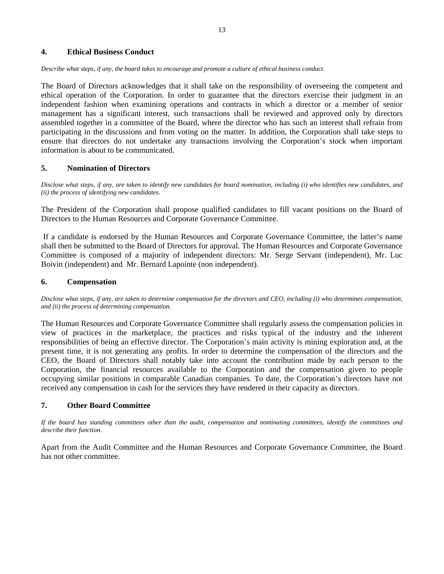#### **4. Ethical Business Conduct**

*Describe what steps, if any, the board takes to encourage and promote a culture of ethical business conduct.*

The Board of Directors acknowledges that it shall take on the responsibility of overseeing the competent and ethical operation of the Corporation. In order to guarantee that the directors exercise their judgment in an independent fashion when examining operations and contracts in which a director or a member of senior management has a significant interest, such transactions shall be reviewed and approved only by directors assembled together in a committee of the Board, where the director who has such an interest shall refrain from participating in the discussions and from voting on the matter. In addition, the Corporation shall take steps to ensure that directors do not undertake any transactions involving the Corporation's stock when important information is about to be communicated.

# **5. Nomination of Directors**

*Disclose what steps, if any, are taken to identify new candidates for board nomination, including (i) who identifies new candidates, and (ii) the process of identifying new candidates.*

The President of the Corporation shall propose qualified candidates to fill vacant positions on the Board of Directors to the Human Resources and Corporate Governance Committee.

 If a candidate is endorsed by the Human Resources and Corporate Governance Committee, the latter's name shall then be submitted to the Board of Directors for approval. The Human Resources and Corporate Governance Committee is composed of a majority of independent directors: Mr. Serge Servant (independent), Mr. Luc Boivin (independent) and Mr. Bernard Lapointe (non independent).

# **6. Compensation**

*Disclose what steps, if any, are taken to determine compensation for the directors and CEO, including (i) who determines compensation, and (ii) the process of determining compensation.*

The Human Resources and Corporate Governance Committee shall regularly assess the compensation policies in view of practices in the marketplace, the practices and risks typical of the industry and the inherent responsibilities of being an effective director. The Corporation's main activity is mining exploration and, at the present time, it is not generating any profits. In order to determine the compensation of the directors and the CEO, the Board of Directors shall notably take into account the contribution made by each person to the Corporation, the financial resources available to the Corporation and the compensation given to people occupying similar positions in comparable Canadian companies. To date, the Corporation's directors have not received any compensation in cash for the services they have rendered in their capacity as directors.

# **7. Other Board Committee**

*If the board has standing committees other than the audit, compensation and nominating committees, identify the committees and describe their function.*

Apart from the Audit Committee and the Human Resources and Corporate Governance Committee, the Board has not other committee.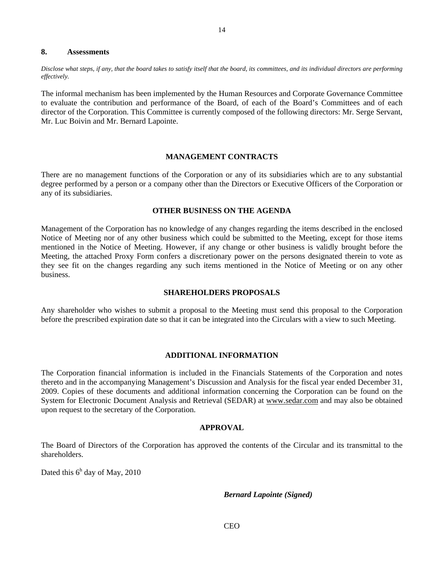#### **8. Assessments**

*Disclose what steps, if any, that the board takes to satisfy itself that the board, its committees, and its individual directors are performing effectively.*

The informal mechanism has been implemented by the Human Resources and Corporate Governance Committee to evaluate the contribution and performance of the Board, of each of the Board's Committees and of each director of the Corporation. This Committee is currently composed of the following directors: Mr. Serge Servant, Mr. Luc Boivin and Mr. Bernard Lapointe.

### **MANAGEMENT CONTRACTS**

There are no management functions of the Corporation or any of its subsidiaries which are to any substantial degree performed by a person or a company other than the Directors or Executive Officers of the Corporation or any of its subsidiaries.

#### **OTHER BUSINESS ON THE AGENDA**

Management of the Corporation has no knowledge of any changes regarding the items described in the enclosed Notice of Meeting nor of any other business which could be submitted to the Meeting, except for those items mentioned in the Notice of Meeting. However, if any change or other business is validly brought before the Meeting, the attached Proxy Form confers a discretionary power on the persons designated therein to vote as they see fit on the changes regarding any such items mentioned in the Notice of Meeting or on any other business.

### **SHAREHOLDERS PROPOSALS**

Any shareholder who wishes to submit a proposal to the Meeting must send this proposal to the Corporation before the prescribed expiration date so that it can be integrated into the Circulars with a view to such Meeting.

#### **ADDITIONAL INFORMATION**

The Corporation financial information is included in the Financials Statements of the Corporation and notes thereto and in the accompanying Management's Discussion and Analysis for the fiscal year ended December 31, 2009. Copies of these documents and additional information concerning the Corporation can be found on the System for Electronic Document Analysis and Retrieval (SEDAR) at www.sedar.com and may also be obtained upon request to the secretary of the Corporation.

## **APPROVAL**

The Board of Directors of the Corporation has approved the contents of the Circular and its transmittal to the shareholders.

Dated this  $6<sup>h</sup>$  day of May, 2010

*Bernard Lapointe (Signed)* 

14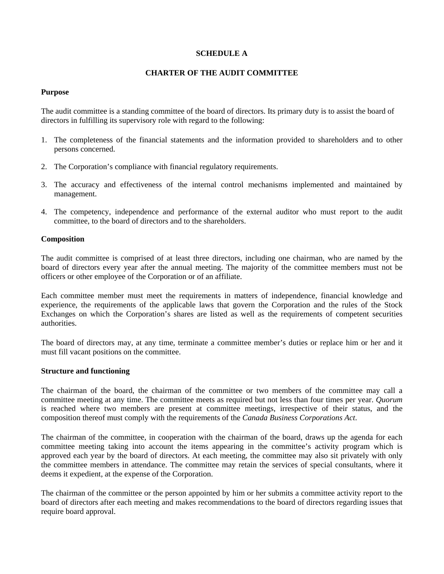## **SCHEDULE A**

## **CHARTER OF THE AUDIT COMMITTEE**

### **Purpose**

The audit committee is a standing committee of the board of directors. Its primary duty is to assist the board of directors in fulfilling its supervisory role with regard to the following:

- 1. The completeness of the financial statements and the information provided to shareholders and to other persons concerned.
- 2. The Corporation's compliance with financial regulatory requirements.
- 3. The accuracy and effectiveness of the internal control mechanisms implemented and maintained by management.
- 4. The competency, independence and performance of the external auditor who must report to the audit committee, to the board of directors and to the shareholders.

### **Composition**

The audit committee is comprised of at least three directors, including one chairman, who are named by the board of directors every year after the annual meeting. The majority of the committee members must not be officers or other employee of the Corporation or of an affiliate.

Each committee member must meet the requirements in matters of independence, financial knowledge and experience, the requirements of the applicable laws that govern the Corporation and the rules of the Stock Exchanges on which the Corporation's shares are listed as well as the requirements of competent securities authorities.

The board of directors may, at any time, terminate a committee member's duties or replace him or her and it must fill vacant positions on the committee.

#### **Structure and functioning**

The chairman of the board, the chairman of the committee or two members of the committee may call a committee meeting at any time. The committee meets as required but not less than four times per year. *Quorum* is reached where two members are present at committee meetings, irrespective of their status, and the composition thereof must comply with the requirements of the *Canada Business Corporations Act*.

The chairman of the committee, in cooperation with the chairman of the board, draws up the agenda for each committee meeting taking into account the items appearing in the committee's activity program which is approved each year by the board of directors. At each meeting, the committee may also sit privately with only the committee members in attendance. The committee may retain the services of special consultants, where it deems it expedient, at the expense of the Corporation.

The chairman of the committee or the person appointed by him or her submits a committee activity report to the board of directors after each meeting and makes recommendations to the board of directors regarding issues that require board approval.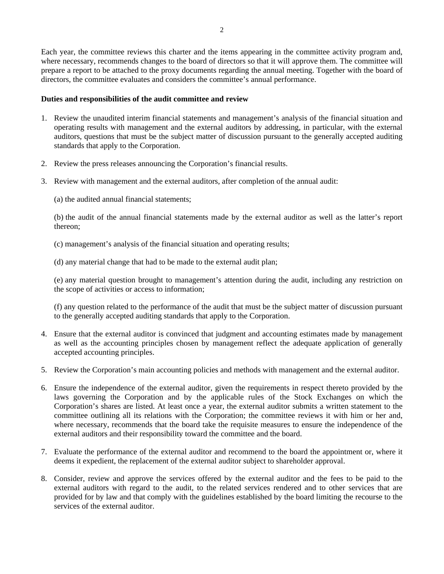Each year, the committee reviews this charter and the items appearing in the committee activity program and, where necessary, recommends changes to the board of directors so that it will approve them. The committee will prepare a report to be attached to the proxy documents regarding the annual meeting. Together with the board of directors, the committee evaluates and considers the committee's annual performance.

# **Duties and responsibilities of the audit committee and review**

- 1. Review the unaudited interim financial statements and management's analysis of the financial situation and operating results with management and the external auditors by addressing, in particular, with the external auditors, questions that must be the subject matter of discussion pursuant to the generally accepted auditing standards that apply to the Corporation.
- 2. Review the press releases announcing the Corporation's financial results.
- 3. Review with management and the external auditors, after completion of the annual audit:
	- (a) the audited annual financial statements;

(b) the audit of the annual financial statements made by the external auditor as well as the latter's report thereon;

- (c) management's analysis of the financial situation and operating results;
- (d) any material change that had to be made to the external audit plan;

(e) any material question brought to management's attention during the audit, including any restriction on the scope of activities or access to information;

(f) any question related to the performance of the audit that must be the subject matter of discussion pursuant to the generally accepted auditing standards that apply to the Corporation.

- 4. Ensure that the external auditor is convinced that judgment and accounting estimates made by management as well as the accounting principles chosen by management reflect the adequate application of generally accepted accounting principles.
- 5. Review the Corporation's main accounting policies and methods with management and the external auditor.
- 6. Ensure the independence of the external auditor, given the requirements in respect thereto provided by the laws governing the Corporation and by the applicable rules of the Stock Exchanges on which the Corporation's shares are listed. At least once a year, the external auditor submits a written statement to the committee outlining all its relations with the Corporation; the committee reviews it with him or her and, where necessary, recommends that the board take the requisite measures to ensure the independence of the external auditors and their responsibility toward the committee and the board.
- 7. Evaluate the performance of the external auditor and recommend to the board the appointment or, where it deems it expedient, the replacement of the external auditor subject to shareholder approval.
- 8. Consider, review and approve the services offered by the external auditor and the fees to be paid to the external auditors with regard to the audit, to the related services rendered and to other services that are provided for by law and that comply with the guidelines established by the board limiting the recourse to the services of the external auditor.